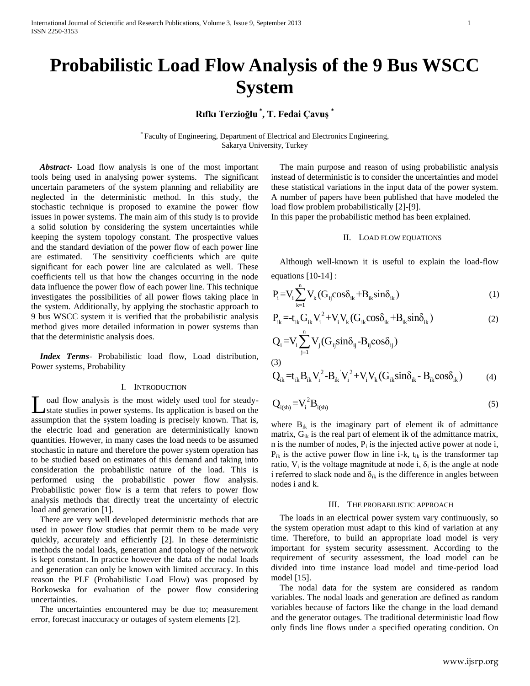# **Probabilistic Load Flow Analysis of the 9 Bus WSCC System**

# **Rıfkı Terzioğlu \* , T. Fedai Çavuş \***

\* Faculty of Engineering, Department of Electrical and Electronics Engineering, Sakarya University, Turkey

 *Abstract***-** Load flow analysis is one of the most important tools being used in analysing power systems. The significant uncertain parameters of the system planning and reliability are neglected in the deterministic method. In this study, the stochastic technique is proposed to examine the power flow issues in power systems. The main aim of this study is to provide a solid solution by considering the system uncertainties while keeping the system topology constant. The prospective values and the standard deviation of the power flow of each power line are estimated. The sensitivity coefficients which are quite significant for each power line are calculated as well. These coefficients tell us that how the changes occurring in the node data influence the power flow of each power line. This technique investigates the possibilities of all power flows taking place in the system. Additionally, by applying the stochastic approach to 9 bus WSCC system it is verified that the probabilistic analysis method gives more detailed information in power systems than that the deterministic analysis does.

 *Index Terms*- Probabilistic load flow, Load distribution, Power systems, Probability

# I. INTRODUCTION

oad flow analysis is the most widely used tool for steadystate studies in power systems. Its application is based on the assumption that the system loading is precisely known. That is, the electric load and generation are deterministically known quantities. However, in many cases the load needs to be assumed stochastic in nature and therefore the power system operation has to be studied based on estimates of this demand and taking into consideration the probabilistic nature of the load. This is performed using the probabilistic power flow analysis. Probabilistic power flow is a term that refers to power flow analysis methods that directly treat the uncertainty of electric load and generation [1]. L

 There are very well developed deterministic methods that are used in power flow studies that permit them to be made very quickly, accurately and efficiently [2]. In these deterministic methods the nodal loads, generation and topology of the network is kept constant. In practice however the data of the nodal loads and generation can only be known with limited accuracy. In this reason the PLF (Probabilistic Load Flow) was proposed by Borkowska for evaluation of the power flow considering uncertainties.

 The uncertainties encountered may be due to; measurement error, forecast inaccuracy or outages of system elements [2].

 The main purpose and reason of using probabilistic analysis instead of deterministic is to consider the uncertainties and model these statistical variations in the input data of the power system. A number of papers have been published that have modeled the load flow problem probabilistically [2]-[9].

In this paper the probabilistic method has been explained.

# II. LOAD FLOW EQUATIONS

 Although well-known it is useful to explain the load-flow equations [10-14] :

$$
P_i = V_i \sum_{k=1}^{n} V_k (G_{ij} \cos \delta_{ik} + B_{ik} \sin \delta_{ik})
$$
 (1)

$$
P_{ik} = -t_{ik} G_{ik} V_i^2 + V_i V_k (G_{ik} \cos \delta_{ik} + B_{ik} \sin \delta_{ik})
$$
 (2)

$$
Q_{i} = V_{i} \sum_{j=1}^{n} V_{j} (G_{ij} sin \delta_{ij} - B_{ij} cos \delta_{ij})
$$
  
(3)  

$$
Q_{ik} = t_{ik} B_{ik} V_{i}^{2} - B_{ik} V_{i}^{2} + V_{i} V_{k} (G_{ik} sin \delta_{ik} - B_{ik} cos \delta_{ik})
$$
 (4)

$$
Q_{i(sh)} = V_i^2 B_{i(sh)}
$$
 (5)

where  $B_{ik}$  is the imaginary part of element ik of admittance matrix,  $G_{ik}$  is the real part of element ik of the admittance matrix,  $n$  is the number of nodes,  $P_i$  is the injected active power at node i,  $P_{ik}$  is the active power flow in line i-k,  $t_{ik}$  is the transformer tap ratio,  $V_i$  is the voltage magnitude at node i,  $\delta_i$  is the angle at node i referred to slack node and  $\delta_{ik}$  is the difference in angles between nodes i and k.

## III. THE PROBABILISTIC APPROACH

 The loads in an electrical power system vary continuously, so the system operation must adapt to this kind of variation at any time. Therefore, to build an appropriate load model is very important for system security assessment. According to the requirement of security assessment, the load model can be divided into time instance load model and time-period load model [15].

 The nodal data for the system are considered as random variables. The nodal loads and generation are defined as random variables because of factors like the change in the load demand and the generator outages. The traditional deterministic load flow only finds line flows under a specified operating condition. On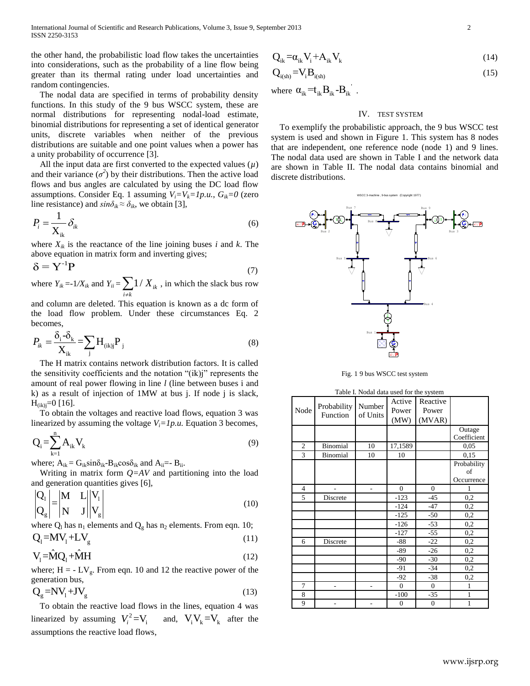the other hand, the probabilistic load flow takes the uncertainties into considerations, such as the probability of a line flow being greater than its thermal rating under load uncertainties and random contingencies.

 The nodal data are specified in terms of probability density functions. In this study of the 9 bus WSCC system, these are normal distributions for representing nodal-load estimate, binomial distributions for representing a set of identical generator units, discrete variables when neither of the previous distributions are suitable and one point values when a power has a unity probability of occurrence [3].

 All the input data are first converted to the expected values (*µ*) and their variance  $(\sigma^2)$  by their distributions. Then the active load flows and bus angles are calculated by using the DC load flow assumptions. Consider Eq. 1 assuming  $V_i = V_k = 1p.u., G_k = 0$  (zero line resistance) and  $sin\delta_{ik} \approx \delta_{ik}$ , we obtain [3],

$$
P_i = \frac{1}{\mathbf{X}_{ik}} \delta_{ik} \tag{6}
$$

where  $X_{ik}$  is the reactance of the line joining buses *i* and *k*. The above equation in matrix form and inverting gives;

$$
\delta = \mathbf{Y}^{-1} \mathbf{P} \tag{7}
$$

where  $Y_{ik} = -1/X_{ik}$  and  $Y_{ii} = \sum 1/X_{ik}$ *i k X*  $\sum_{i \neq k} 1/\, X_{ik}$ , in which the slack bus row

and column are deleted. This equation is known as a dc form of the load flow problem. Under these circumstances Eq. 2 becomes,

$$
P_{ik} = \frac{\delta_{i} - \delta_{k}}{X_{ik}} = \sum_{j} H_{(ik)j} P_{j}
$$
 (8)

 The H matrix contains network distribution factors. It is called the sensitivity coefficients and the notation "(ik)j" represents the amount of real power flowing in line *l* (line between buses i and k) as a result of injection of 1MW at bus j. If node j is slack,  $H_{(ik)j}=0$  [16].

 To obtain the voltages and reactive load flows, equation 3 was linearized by assuming the voltage  $V_i = 1p.u$ . Equation 3 becomes,

$$
Q_i = \sum_{k=1}^{n} A_{ik} V_k
$$
\n<sup>(9)</sup>

where;  $A_{ik} = G_{ik} \sin \delta_{ik} - B_{ik} \cos \delta_{ik}$  and  $A_{ii} = -B_{ii}$ .

 Writing in matrix form *Q=AV* and partitioning into the load and generation quantities gives [6],

$$
\begin{vmatrix} Q_1 \\ Q_g \end{vmatrix} = \begin{vmatrix} M & L \\ N & J \end{vmatrix} \begin{vmatrix} V_1 \\ V_g \end{vmatrix}
$$
 (10)

where  $Q_1$  has  $n_1$  elements and  $Q_g$  has  $n_2$  elements. From eqn. 10;  $Q_1 = MV_1 + LV_{\sigma}$ (11)

$$
V_1 = \hat{M}Q_1 + \hat{M}H
$$
 (12)

where;  $H = -LV_g$ . From eqn. 10 and 12 the reactive power of the generation bus,

$$
Q_g = NV_1 + JV_g \tag{13}
$$

 To obtain the reactive load flows in the lines, equation 4 was linearized by assuming  $V_i^2 = V_i$  and,  $V_i V_k = V_k$  after the assumptions the reactive load flows,

$$
Q_{ik} = \alpha_{ik} V_i + A_{ik} V_k \tag{14}
$$

$$
Q_{i(sh)} = V_i B_{i(sh)} \tag{15}
$$

where  $\alpha_{ik} = t_{ik} B_{ik} - B_{ik}$ .

# IV. TEST SYSTEM

 To exemplify the probabilistic approach, the 9 bus WSCC test system is used and shown in Figure 1. This system has 8 nodes that are independent, one reference node (node 1) and 9 lines. The nodal data used are shown in Table I and the network data are shown in Table II. The nodal data contains binomial and discrete distributions.



Fig. 1 9 bus WSCC test system

| Table I. Nodal data used for the system |                         |                    |                         |                             |                                 |
|-----------------------------------------|-------------------------|--------------------|-------------------------|-----------------------------|---------------------------------|
| Node                                    | Probability<br>Function | Number<br>of Units | Active<br>Power<br>(MW) | Reactive<br>Power<br>(MVAR) |                                 |
|                                         |                         |                    |                         |                             | Outage<br>Coefficient           |
| $\overline{c}$                          | Binomial                | 10                 | 17,1589                 |                             | 0.05                            |
| 3                                       | Binomial                | 10                 | 10                      |                             | 0,15                            |
|                                         |                         |                    |                         |                             | Probability<br>of<br>Occurrence |
| $\overline{4}$                          |                         | ٠                  | $\overline{0}$          | $\overline{0}$              | 1                               |
| 5                                       | Discrete                |                    | $-123$                  | $-45$                       | 0,2                             |
|                                         |                         |                    | $-124$                  | $-47$                       | 0,2                             |
|                                         |                         |                    | $-125$                  | $-50$                       | 0,2                             |
|                                         |                         |                    | $-126$                  | $-53$                       | 0,2                             |
|                                         |                         |                    | $-127$                  | $-55$                       | 0,2                             |
| 6                                       | Discrete                |                    | $-88$                   | $-22$                       | 0,2                             |
|                                         |                         |                    | $-89$                   | $-26$                       | 0,2                             |
|                                         |                         |                    | -90                     | $-30$                       | 0,2                             |
|                                         |                         |                    | $-91$                   | $-34$                       | 0,2                             |
|                                         |                         |                    | $-92$                   | $-38$                       | $_{0,2}$                        |
| $\overline{7}$                          |                         |                    | $\overline{0}$          | $\mathbf{0}$                | 1                               |
| 8                                       |                         |                    | $-100$                  | $-35$                       | 1                               |
| 9                                       |                         |                    | $\boldsymbol{0}$        | $\boldsymbol{0}$            | 1                               |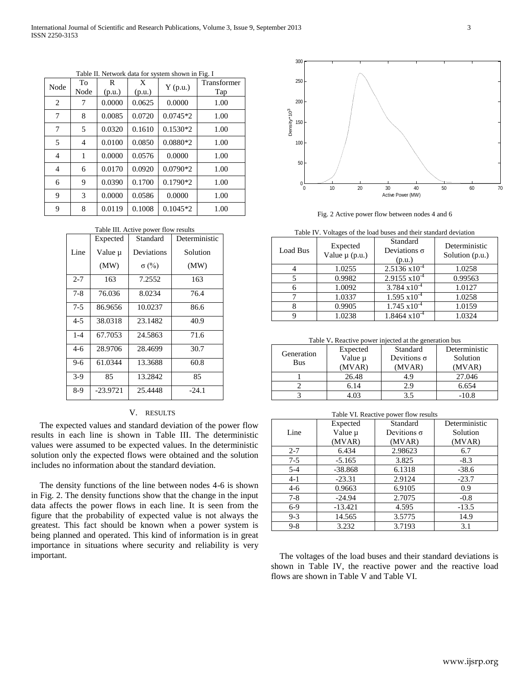| Node | To<br>Node     | R<br>(p.u.) | X<br>(p.u.) | $Y$ (p.u.) | Transformer<br>Tap |
|------|----------------|-------------|-------------|------------|--------------------|
| 2    | 7              | 0.0000      | 0.0625      | 0.0000     | 1.00               |
| 7    | 8              | 0.0085      | 0.0720      | $0.0745*2$ | 1.00               |
| 7    | 5              | 0.0320      | 0.1610      | $0.1530*2$ | 1.00               |
| 5    | $\overline{4}$ | 0.0100      | 0.0850      | $0.0880*2$ | 1.00               |
| 4    | 1              | 0.0000      | 0.0576      | 0.0000     | 1.00               |
| 4    | 6              | 0.0170      | 0.0920      | $0.0790*2$ | 1.00               |
| 6    | 9              | 0.0390      | 0.1700      | $0.1790*2$ | 1.00               |
| 9    | 3              | 0.0000      | 0.0586      | 0.0000     | 1.00               |
| 9    | 8              | 0.0119      | 0.1008      | $0.1045*2$ | 1.00               |

Table II. Network data for system shown in Fig. I

| Table III. Active power flow results |            |              |               |  |
|--------------------------------------|------------|--------------|---------------|--|
|                                      | Expected   | Standard     | Deterministic |  |
| Line                                 | Value µ    | Deviations   | Solution      |  |
|                                      | (MW)       | $\sigma$ (%) | (MW)          |  |
| $2 - 7$                              | 163        | 7.2552       | 163           |  |
| $7-8$                                | 76.036     | 8.0234       | 76.4          |  |
| $7 - 5$                              | 86.9656    | 10.0237      | 86.6          |  |
| $4 - 5$                              | 38.0318    | 23.1482      | 40.9          |  |
| $1 - 4$                              | 67.7053    | 24.5863      | 71.6          |  |
| 4-6                                  | 28.9706    | 28.4699      | 30.7          |  |
| 9-6                                  | 61.0344    | 13.3688      | 60.8          |  |
| $3-9$                                | 85         | 13.2842      | 85            |  |
| $8-9$                                | $-23.9721$ | 25.4448      | $-24.1$       |  |

### V. RESULTS

 The expected values and standard deviation of the power flow results in each line is shown in Table III. The deterministic values were assumed to be expected values. In the deterministic solution only the expected flows were obtained and the solution includes no information about the standard deviation.

 The density functions of the line between nodes 4-6 is shown in Fig. 2. The density functions show that the change in the input data affects the power flows in each line. It is seen from the figure that the probability of expected value is not always the greatest. This fact should be known when a power system is being planned and operated. This kind of information is in great importance in situations where security and reliability is very important.



Fig. 2 Active power flow between nodes 4 and 6

| Table IV. Voltages of the load buses and their standard deviation |  |
|-------------------------------------------------------------------|--|
|-------------------------------------------------------------------|--|

| Load Bus | Expected<br>Value $\mu$ (p.u.) | Standard<br>Deviations $\sigma$<br>(p.u.) | Deterministic<br>Solution (p.u.) |
|----------|--------------------------------|-------------------------------------------|----------------------------------|
|          | 1.0255                         | $2.5136 \times 10^{-4}$                   | 1.0258                           |
|          | 0.9982                         | $2.9155 \times 10^{-4}$                   | 0.99563                          |
|          | 1.0092                         | $3.784 \times 10^{-4}$                    | 1.0127                           |
|          | 1.0337                         | $1.595 \times 10^{-4}$                    | 1.0258                           |
|          | 0.9905                         | $1.745 \times 10^{-4}$                    | 1.0159                           |
|          | 1.0238                         | $1.8464 \times 10^{-4}$                   | 1.0324                           |

Table V**.** Reactive power injected at the generation bus

|            | Expected | Standard           | Deterministic |
|------------|----------|--------------------|---------------|
| Generation | Value µ  | Devitions $\sigma$ | Solution      |
| <b>Bus</b> | (MVAR)   | (MVAR)             | (MVAR)        |
|            | 26.48    | 4.9                | 27.046        |
|            | 6.14     | 2.9                | 6.654         |
|            | . 03     |                    | $-10.8$       |

| Table VI. Reactive power flow results |           |                    |               |
|---------------------------------------|-----------|--------------------|---------------|
|                                       | Expected  | Standard           | Deterministic |
| Line                                  | Value µ   | Devitions $\sigma$ | Solution      |
|                                       | (MVAR)    | (MVAR)             | (MVAR)        |
| $2 - 7$                               | 6.434     | 2.98623            | 6.7           |
| $7-5$                                 | $-5.165$  | 3.825              | $-8.3$        |
| $5 - 4$                               | $-38.868$ | 6.1318             | $-38.6$       |
| $4 - 1$                               | $-23.31$  | 2.9124             | $-23.7$       |
| $4-6$                                 | 0.9663    | 6.9105             | 0.9           |
| $7-8$                                 | $-24.94$  | 2.7075             | $-0.8$        |
| $6-9$                                 | $-13.421$ | 4.595              | $-13.5$       |
| $9 - 3$                               | 14.565    | 3.5775             | 14.9          |
| $9 - 8$                               | 3.232     | 3.7193             | 3.1           |

 The voltages of the load buses and their standard deviations is shown in Table IV, the reactive power and the reactive load flows are shown in Table V and Table VI.